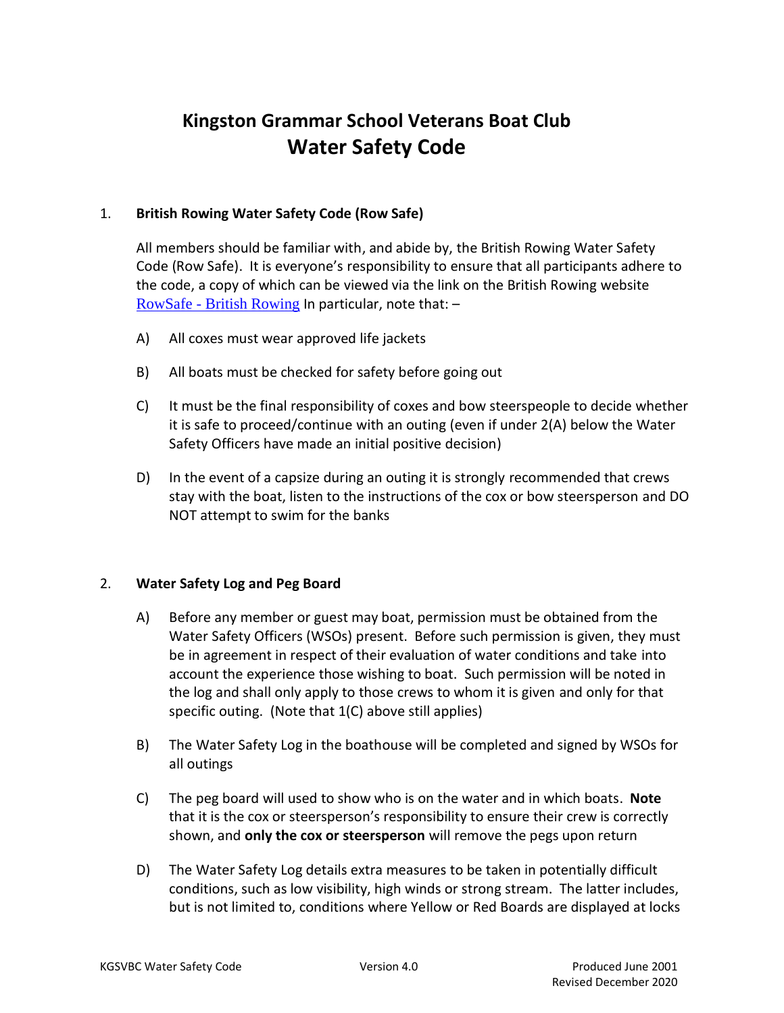# **Kingston Grammar School Veterans Boat Club Water Safety Code**

## 1. **British Rowing Water Safety Code (Row Safe)**

All members should be familiar with, and abide by, the British Rowing Water Safety Code (Row Safe). It is everyone's responsibility to ensure that all participants adhere to the code, a copy of which can be viewed via the link on the British Rowing website RowSafe - [British Rowing](https://www.britishrowing.org/about-us/policies-guidance/rowsafe/) In particular, note that: –

- A) All coxes must wear approved life jackets
- B) All boats must be checked for safety before going out
- C) It must be the final responsibility of coxes and bow steerspeople to decide whether it is safe to proceed/continue with an outing (even if under 2(A) below the Water Safety Officers have made an initial positive decision)
- D) In the event of a capsize during an outing it is strongly recommended that crews stay with the boat, listen to the instructions of the cox or bow steersperson and DO NOT attempt to swim for the banks

#### 2. **Water Safety Log and Peg Board**

- A) Before any member or guest may boat, permission must be obtained from the Water Safety Officers (WSOs) present. Before such permission is given, they must be in agreement in respect of their evaluation of water conditions and take into account the experience those wishing to boat. Such permission will be noted in the log and shall only apply to those crews to whom it is given and only for that specific outing. (Note that 1(C) above still applies)
- B) The Water Safety Log in the boathouse will be completed and signed by WSOs for all outings
- C) The peg board will used to show who is on the water and in which boats. **Note** that it is the cox or steersperson's responsibility to ensure their crew is correctly shown, and **only the cox or steersperson** will remove the pegs upon return
- D) The Water Safety Log details extra measures to be taken in potentially difficult conditions, such as low visibility, high winds or strong stream. The latter includes, but is not limited to, conditions where Yellow or Red Boards are displayed at locks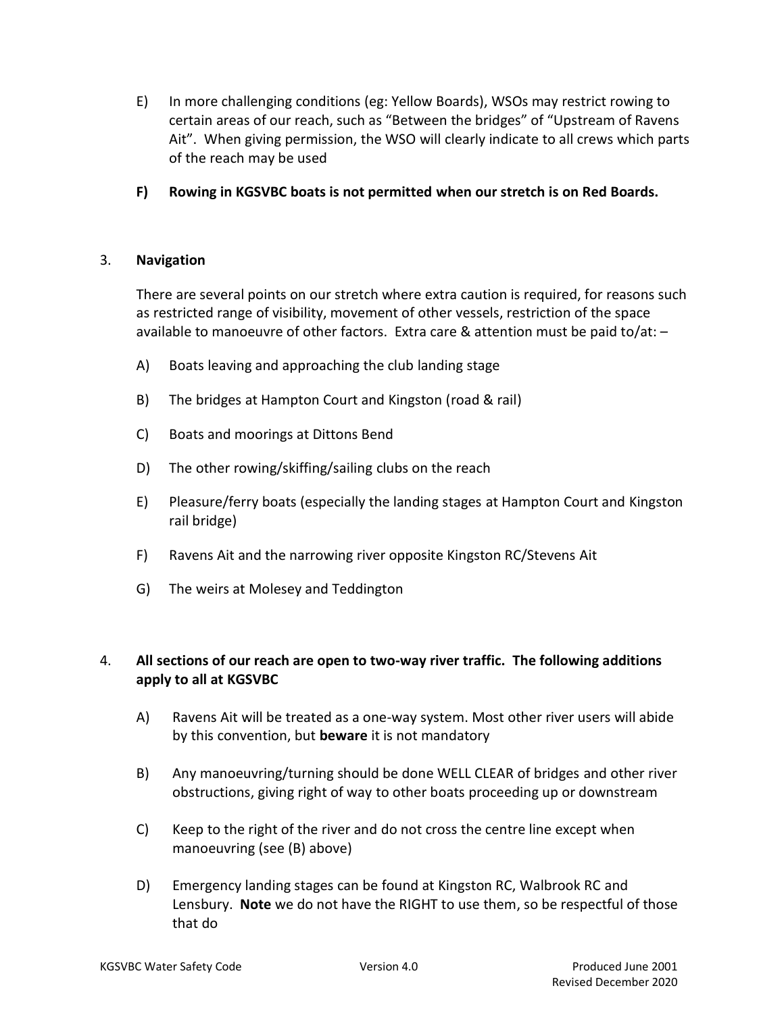- E) In more challenging conditions (eg: Yellow Boards), WSOs may restrict rowing to certain areas of our reach, such as "Between the bridges" of "Upstream of Ravens Ait". When giving permission, the WSO will clearly indicate to all crews which parts of the reach may be used
- **F) Rowing in KGSVBC boats is not permitted when our stretch is on Red Boards.**

## 3. **Navigation**

There are several points on our stretch where extra caution is required, for reasons such as restricted range of visibility, movement of other vessels, restriction of the space available to manoeuvre of other factors. Extra care & attention must be paid to/at: –

- A) Boats leaving and approaching the club landing stage
- B) The bridges at Hampton Court and Kingston (road & rail)
- C) Boats and moorings at Dittons Bend
- D) The other rowing/skiffing/sailing clubs on the reach
- E) Pleasure/ferry boats (especially the landing stages at Hampton Court and Kingston rail bridge)
- F) Ravens Ait and the narrowing river opposite Kingston RC/Stevens Ait
- G) The weirs at Molesey and Teddington

## 4. **All sections of our reach are open to two-way river traffic. The following additions apply to all at KGSVBC**

- A) Ravens Ait will be treated as a one-way system. Most other river users will abide by this convention, but **beware** it is not mandatory
- B) Any manoeuvring/turning should be done WELL CLEAR of bridges and other river obstructions, giving right of way to other boats proceeding up or downstream
- C) Keep to the right of the river and do not cross the centre line except when manoeuvring (see (B) above)
- D) Emergency landing stages can be found at Kingston RC, Walbrook RC and Lensbury. **Note** we do not have the RIGHT to use them, so be respectful of those that do